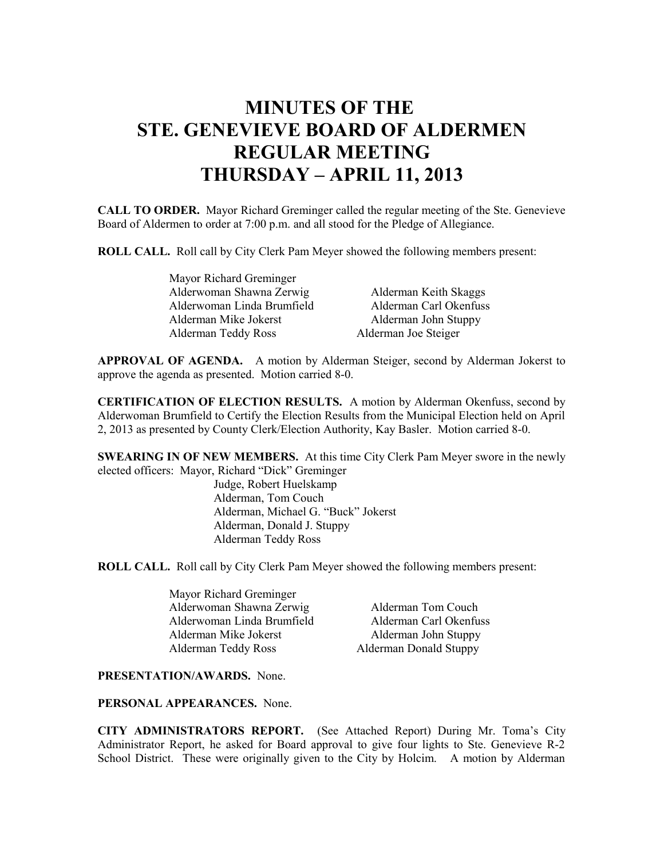# **MINUTES OF THE STE. GENEVIEVE BOARD OF ALDERMEN REGULAR MEETING THURSDAY – APRIL 11, 2013**

**CALL TO ORDER.** Mayor Richard Greminger called the regular meeting of the Ste. Genevieve Board of Aldermen to order at 7:00 p.m. and all stood for the Pledge of Allegiance.

**ROLL CALL.** Roll call by City Clerk Pam Meyer showed the following members present:

| Mayor Richard Greminger    |                        |
|----------------------------|------------------------|
| Alderwoman Shawna Zerwig   | Alderman Keith Skaggs  |
| Alderwoman Linda Brumfield | Alderman Carl Okenfuss |
| Alderman Mike Jokerst      | Alderman John Stuppy   |
| Alderman Teddy Ross        | Alderman Joe Steiger   |

**APPROVAL OF AGENDA.** A motion by Alderman Steiger, second by Alderman Jokerst to approve the agenda as presented. Motion carried 8-0.

**CERTIFICATION OF ELECTION RESULTS.** A motion by Alderman Okenfuss, second by Alderwoman Brumfield to Certify the Election Results from the Municipal Election held on April 2, 2013 as presented by County Clerk/Election Authority, Kay Basler. Motion carried 8-0.

**SWEARING IN OF NEW MEMBERS.** At this time City Clerk Pam Meyer swore in the newly elected officers: Mayor, Richard "Dick" Greminger

> Judge, Robert Huelskamp Alderman, Tom Couch Alderman, Michael G. "Buck" Jokerst Alderman, Donald J. Stuppy Alderman Teddy Ross

**ROLL CALL.** Roll call by City Clerk Pam Meyer showed the following members present:

Mayor Richard Greminger Alderwoman Shawna Zerwig Alderman Tom Couch Alderwoman Linda Brumfield Alderman Carl Okenfuss Alderman Mike Jokerst Alderman John Stuppy Alderman Teddy Ross Alderman Donald Stuppy

**PRESENTATION/AWARDS.** None.

**PERSONAL APPEARANCES.** None.

**CITY ADMINISTRATORS REPORT.** (See Attached Report) During Mr. Toma's City Administrator Report, he asked for Board approval to give four lights to Ste. Genevieve R-2 School District. These were originally given to the City by Holcim. A motion by Alderman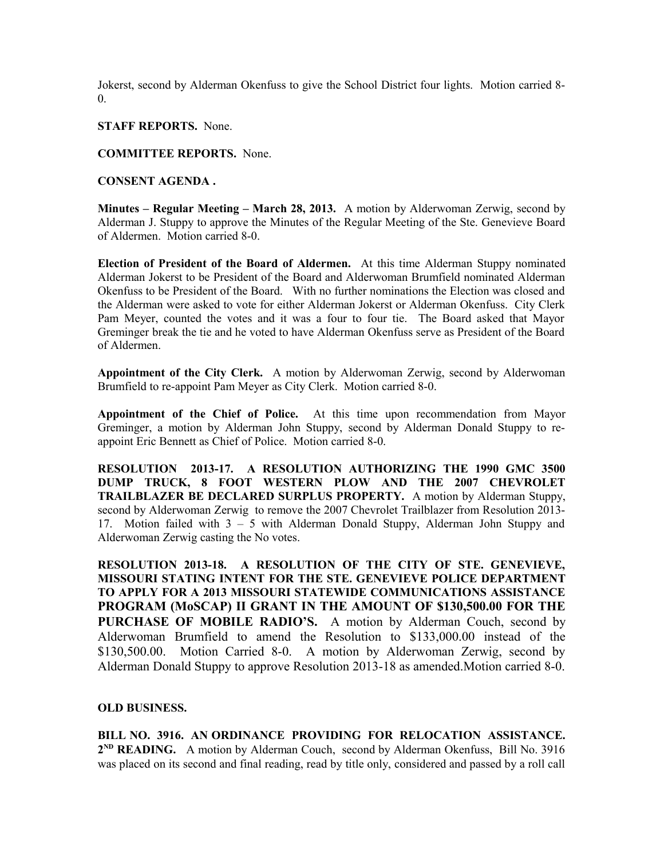Jokerst, second by Alderman Okenfuss to give the School District four lights. Motion carried 8- 0.

#### **STAFF REPORTS.** None.

## **COMMITTEE REPORTS.** None.

## **CONSENT AGENDA .**

**Minutes – Regular Meeting – March 28, 2013.** A motion by Alderwoman Zerwig, second by Alderman J. Stuppy to approve the Minutes of the Regular Meeting of the Ste. Genevieve Board of Aldermen. Motion carried 8-0.

**Election of President of the Board of Aldermen.** At this time Alderman Stuppy nominated Alderman Jokerst to be President of the Board and Alderwoman Brumfield nominated Alderman Okenfuss to be President of the Board. With no further nominations the Election was closed and the Alderman were asked to vote for either Alderman Jokerst or Alderman Okenfuss. City Clerk Pam Meyer, counted the votes and it was a four to four tie. The Board asked that Mayor Greminger break the tie and he voted to have Alderman Okenfuss serve as President of the Board of Aldermen.

**Appointment of the City Clerk.** A motion by Alderwoman Zerwig, second by Alderwoman Brumfield to re-appoint Pam Meyer as City Clerk. Motion carried 8-0.

**Appointment of the Chief of Police.** At this time upon recommendation from Mayor Greminger, a motion by Alderman John Stuppy, second by Alderman Donald Stuppy to reappoint Eric Bennett as Chief of Police. Motion carried 8-0.

**RESOLUTION 2013-17. A RESOLUTION AUTHORIZING THE 1990 GMC 3500 DUMP TRUCK, 8 FOOT WESTERN PLOW AND THE 2007 CHEVROLET TRAILBLAZER BE DECLARED SURPLUS PROPERTY.** A motion by Alderman Stuppy, second by Alderwoman Zerwig to remove the 2007 Chevrolet Trailblazer from Resolution 2013- 17. Motion failed with 3 – 5 with Alderman Donald Stuppy, Alderman John Stuppy and Alderwoman Zerwig casting the No votes.

**RESOLUTION 2013-18. A RESOLUTION OF THE CITY OF STE. GENEVIEVE, MISSOURI STATING INTENT FOR THE STE. GENEVIEVE POLICE DEPARTMENT TO APPLY FOR A 2013 MISSOURI STATEWIDE COMMUNICATIONS ASSISTANCE PROGRAM (MoSCAP) II GRANT IN THE AMOUNT OF \$130,500.00 FOR THE PURCHASE OF MOBILE RADIO'S.** A motion by Alderman Couch, second by Alderwoman Brumfield to amend the Resolution to \$133,000.00 instead of the \$130,500.00. Motion Carried 8-0. A motion by Alderwoman Zerwig, second by Alderman Donald Stuppy to approve Resolution 2013-18 as amended.Motion carried 8-0.

#### **OLD BUSINESS.**

**BILL NO. 3916. AN ORDINANCE PROVIDING FOR RELOCATION ASSISTANCE.** 2<sup>ND</sup> READING. A motion by Alderman Couch, second by Alderman Okenfuss, Bill No. 3916 was placed on its second and final reading, read by title only, considered and passed by a roll call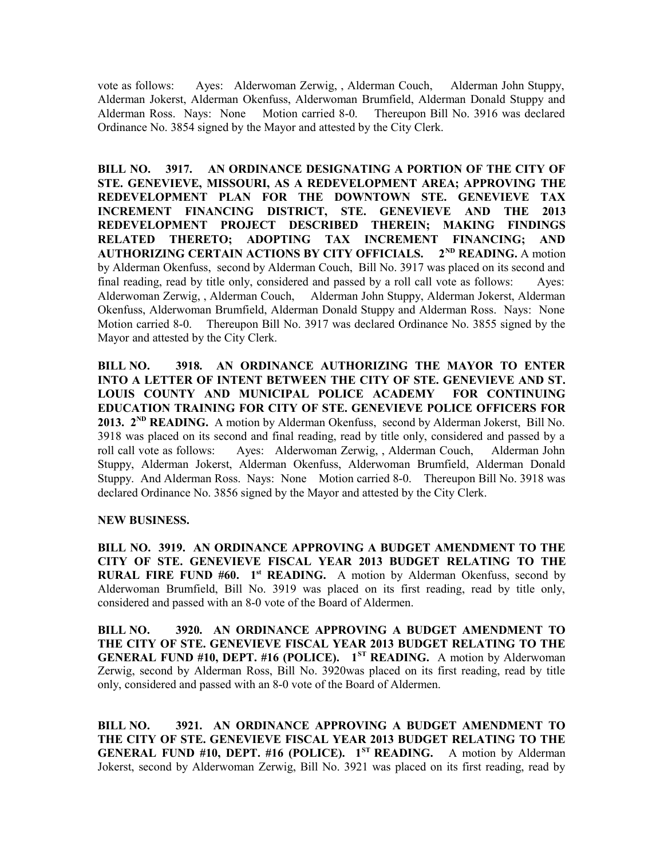vote as follows: Ayes: Alderwoman Zerwig, , Alderman Couch, Alderman John Stuppy, Alderman Jokerst, Alderman Okenfuss, Alderwoman Brumfield, Alderman Donald Stuppy and Alderman Ross. Nays: None Motion carried 8-0. Thereupon Bill No. 3916 was declared Ordinance No. 3854 signed by the Mayor and attested by the City Clerk.

**BILL NO. 3917. AN ORDINANCE DESIGNATING A PORTION OF THE CITY OF STE. GENEVIEVE, MISSOURI, AS A REDEVELOPMENT AREA; APPROVING THE REDEVELOPMENT PLAN FOR THE DOWNTOWN STE. GENEVIEVE TAX INCREMENT FINANCING DISTRICT, STE. GENEVIEVE AND THE 2013 REDEVELOPMENT PROJECT DESCRIBED THEREIN; MAKING FINDINGS RELATED THERETO; ADOPTING TAX INCREMENT FINANCING; AND AUTHORIZING CERTAIN ACTIONS BY CITY OFFICIALS. 2ND READING.** A motion by Alderman Okenfuss, second by Alderman Couch, Bill No. 3917 was placed on its second and final reading, read by title only, considered and passed by a roll call vote as follows: Ayes: Alderwoman Zerwig, , Alderman Couch, Alderman John Stuppy, Alderman Jokerst, Alderman Okenfuss, Alderwoman Brumfield, Alderman Donald Stuppy and Alderman Ross. Nays: None Motion carried 8-0. Thereupon Bill No. 3917 was declared Ordinance No. 3855 signed by the Mayor and attested by the City Clerk.

**BILL NO. 3918. AN ORDINANCE AUTHORIZING THE MAYOR TO ENTER INTO A LETTER OF INTENT BETWEEN THE CITY OF STE. GENEVIEVE AND ST. LOUIS COUNTY AND MUNICIPAL POLICE ACADEMY FOR CONTINUING EDUCATION TRAINING FOR CITY OF STE. GENEVIEVE POLICE OFFICERS FOR 2013. 2<sup>ND</sup> READING.** A motion by Alderman Okenfuss, second by Alderman Jokerst, Bill No. 3918 was placed on its second and final reading, read by title only, considered and passed by a roll call vote as follows: Ayes: Alderwoman Zerwig, , Alderman Couch, Alderman John Stuppy, Alderman Jokerst, Alderman Okenfuss, Alderwoman Brumfield, Alderman Donald Stuppy. And Alderman Ross. Nays: None Motion carried 8-0. Thereupon Bill No. 3918 was declared Ordinance No. 3856 signed by the Mayor and attested by the City Clerk.

#### **NEW BUSINESS.**

**BILL NO. 3919. AN ORDINANCE APPROVING A BUDGET AMENDMENT TO THE CITY OF STE. GENEVIEVE FISCAL YEAR 2013 BUDGET RELATING TO THE RURAL FIRE FUND #60. 1st READING.** A motion by Alderman Okenfuss, second by Alderwoman Brumfield, Bill No. 3919 was placed on its first reading, read by title only, considered and passed with an 8-0 vote of the Board of Aldermen.

**BILL NO. 3920. AN ORDINANCE APPROVING A BUDGET AMENDMENT TO THE CITY OF STE. GENEVIEVE FISCAL YEAR 2013 BUDGET RELATING TO THE GENERAL FUND #10, DEPT. #16 (POLICE). 1ST READING.** A motion by Alderwoman Zerwig, second by Alderman Ross, Bill No. 3920was placed on its first reading, read by title only, considered and passed with an 8-0 vote of the Board of Aldermen.

**BILL NO. 3921. AN ORDINANCE APPROVING A BUDGET AMENDMENT TO THE CITY OF STE. GENEVIEVE FISCAL YEAR 2013 BUDGET RELATING TO THE GENERAL FUND #10, DEPT. #16 (POLICE). 1ST READING.** A motion by Alderman Jokerst, second by Alderwoman Zerwig, Bill No. 3921 was placed on its first reading, read by